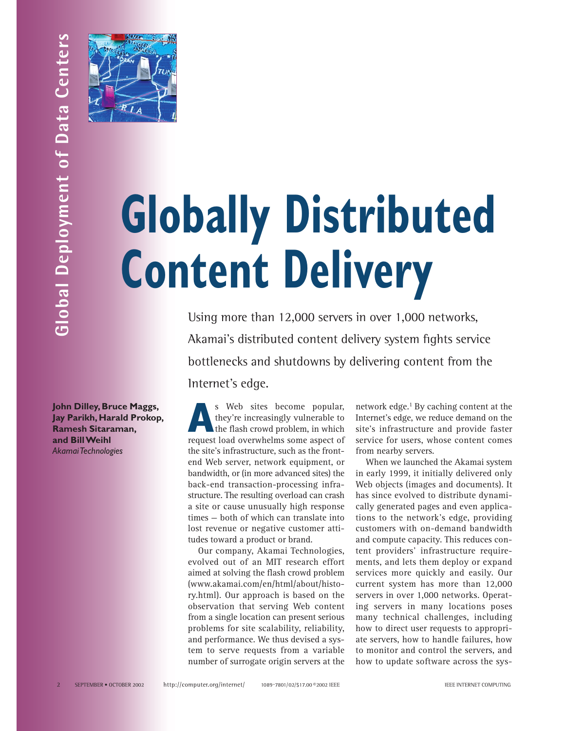

# **Globally Distributed Content Delivery 2 Clobally Distributed**<br> **Content Delivery**<br> **Express that Content Content delivery start in dust Exception**<br> **A West Stributed Content delivery start in dust Exception**<br> **A West Stributed Stributed Content delivery sta**

Using more than 12,000 servers in over 1,000 networks, Akamai's distributed content delivery system fights service bottlenecks and shutdowns by delivering content from the Internet's edge.

**As** Web sites become popular,<br>they're increasingly vulnerable to<br>the flash crowd problem, in which<br>request load overwhelms some aspect of they're increasingly vulnerable to the flash crowd problem, in which request load overwhelms some aspect of the site's infrastructure, such as the frontend Web server, network equipment, or bandwidth, or (in more advanced sites) the back-end transaction-processing infrastructure. The resulting overload can crash a site or cause unusually high response times — both of which can translate into lost revenue or negative customer attitudes toward a product or brand.

Our company, Akamai Technologies, evolved out of an MIT research effort aimed at solving the flash crowd problem (www.akamai.com/en/html/about/history.html). Our approach is based on the observation that serving Web content from a single location can present serious problems for site scalability, reliability, and performance. We thus devised a system to serve requests from a variable number of surrogate origin servers at the network edge. $1$  By caching content at the Internet's edge, we reduce demand on the site's infrastructure and provide faster service for users, whose content comes from nearby servers.

When we launched the Akamai system in early 1999, it initially delivered only Web objects (images and documents). It has since evolved to distribute dynamically generated pages and even applications to the network's edge, providing customers with on-demand bandwidth and compute capacity. This reduces content providers' infrastructure requirements, and lets them deploy or expand services more quickly and easily. Our current system has more than 12,000 servers in over 1,000 networks. Operating servers in many locations poses many technical challenges, including how to direct user requests to appropriate servers, how to handle failures, how to monitor and control the servers, and how to update software across the sys-

**John Dilley, Bruce Maggs, Jay Parikh, Harald Prokop, Ramesh Sitaraman, and Bill Weihl**  *Akamai Technologies*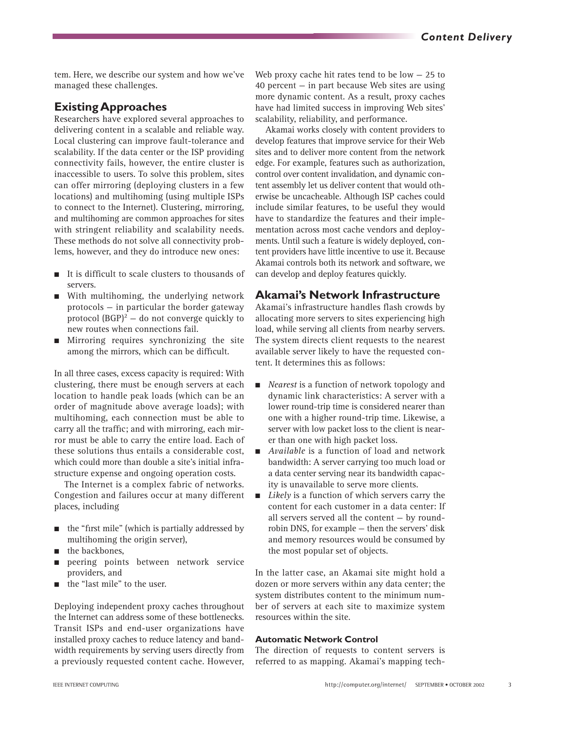tem. Here, we describe our system and how we've managed these challenges.

# **Existing Approaches**

Researchers have explored several approaches to delivering content in a scalable and reliable way. Local clustering can improve fault-tolerance and scalability. If the data center or the ISP providing connectivity fails, however, the entire cluster is inaccessible to users. To solve this problem, sites can offer mirroring (deploying clusters in a few locations) and multihoming (using multiple ISPs to connect to the Internet). Clustering, mirroring, and multihoming are common approaches for sites with stringent reliability and scalability needs. These methods do not solve all connectivity problems, however, and they do introduce new ones:

- It is difficult to scale clusters to thousands of servers.
- With multihoming, the underlying network protocols — in particular the border gateway protocol  $(BGP)^2$  – do not converge quickly to new routes when connections fail.
- Mirroring requires synchronizing the site among the mirrors, which can be difficult.

In all three cases, excess capacity is required: With clustering, there must be enough servers at each location to handle peak loads (which can be an order of magnitude above average loads); with multihoming, each connection must be able to carry all the traffic; and with mirroring, each mirror must be able to carry the entire load. Each of these solutions thus entails a considerable cost, which could more than double a site's initial infrastructure expense and ongoing operation costs.

The Internet is a complex fabric of networks. Congestion and failures occur at many different places, including

- the "first mile" (which is partially addressed by multihoming the origin server),
- the backbones.
- peering points between network service providers, and
- the "last mile" to the user.

Deploying independent proxy caches throughout the Internet can address some of these bottlenecks. Transit ISPs and end-user organizations have installed proxy caches to reduce latency and bandwidth requirements by serving users directly from a previously requested content cache. However,

Akamai's infrastructure handles flash crowds by allocating more servers to sites experiencing high load, while serving all clients from nearby servers. The system directs client requests to the nearest available server likely to have the requested content. It determines this as follows:

**Akamai's Network Infrastructure**

Web proxy cache hit rates tend to be low  $-25$  to 40 percent — in part because Web sites are using more dynamic content. As a result, proxy caches have had limited success in improving Web sites'

Akamai works closely with content providers to develop features that improve service for their Web sites and to deliver more content from the network edge. For example, features such as authorization, control over content invalidation, and dynamic content assembly let us deliver content that would otherwise be uncacheable. Although ISP caches could include similar features, to be useful they would have to standardize the features and their implementation across most cache vendors and deployments. Until such a feature is widely deployed, content providers have little incentive to use it. Because Akamai controls both its network and software, we

scalability, reliability, and performance.

can develop and deploy features quickly.

- *Nearest* is a function of network topology and dynamic link characteristics: A server with a lower round-trip time is considered nearer than one with a higher round-trip time. Likewise, a server with low packet loss to the client is nearer than one with high packet loss.
- *Available* is a function of load and network bandwidth: A server carrying too much load or a data center serving near its bandwidth capacity is unavailable to serve more clients.
- *Likely* is a function of which servers carry the content for each customer in a data center: If all servers served all the content — by roundrobin DNS, for example — then the servers' disk and memory resources would be consumed by the most popular set of objects.

In the latter case, an Akamai site might hold a dozen or more servers within any data center; the system distributes content to the minimum number of servers at each site to maximize system resources within the site.

### **Automatic Network Control**

The direction of requests to content servers is referred to as mapping. Akamai's mapping tech-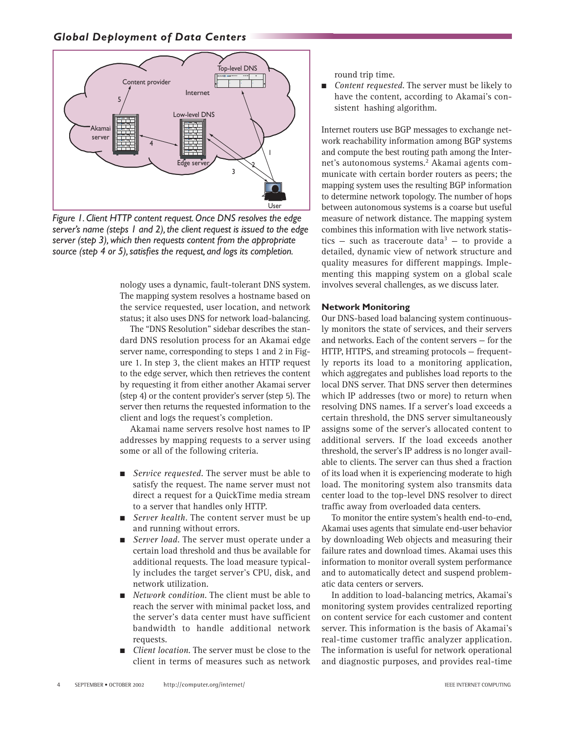# *Global Deployment of Data Centers*



*Figure 1. Client HTTP content request. Once DNS resolves the edge server's name (steps 1 and 2), the client request is issued to the edge server (step 3), which then requests content from the appropriate source (step 4 or 5), satisfies the request, and logs its completion.*

nology uses a dynamic, fault-tolerant DNS system. The mapping system resolves a hostname based on the service requested, user location, and network status; it also uses DNS for network load-balancing.

The "DNS Resolution" sidebar describes the standard DNS resolution process for an Akamai edge server name, corresponding to steps 1 and 2 in Figure 1. In step 3, the client makes an HTTP request to the edge server, which then retrieves the content by requesting it from either another Akamai server (step 4) or the content provider's server (step 5). The server then returns the requested information to the client and logs the request's completion.

Akamai name servers resolve host names to IP addresses by mapping requests to a server using some or all of the following criteria.

- *Service requested*. The server must be able to satisfy the request. The name server must not direct a request for a QuickTime media stream to a server that handles only HTTP.
- *Server health*. The content server must be up and running without errors.
- *Server load*. The server must operate under a certain load threshold and thus be available for additional requests. The load measure typically includes the target server's CPU, disk, and network utilization.
- Network condition. The client must be able to reach the server with minimal packet loss, and the server's data center must have sufficient bandwidth to handle additional network requests.
- Client location. The server must be close to the client in terms of measures such as network

round trip time.

■ *Content requested*. The server must be likely to have the content, according to Akamai's consistent hashing algorithm.

Internet routers use BGP messages to exchange network reachability information among BGP systems and compute the best routing path among the Internet's autonomous systems.<sup>2</sup> Akamai agents communicate with certain border routers as peers; the mapping system uses the resulting BGP information to determine network topology. The number of hops between autonomous systems is a coarse but useful measure of network distance. The mapping system combines this information with live network statistics – such as traceroute data<sup>3</sup> – to provide a detailed, dynamic view of network structure and quality measures for different mappings. Implementing this mapping system on a global scale involves several challenges, as we discuss later.

### **Network Monitoring**

Our DNS-based load balancing system continuously monitors the state of services, and their servers and networks. Each of the content servers — for the HTTP, HTTPS, and streaming protocols — frequently reports its load to a monitoring application, which aggregates and publishes load reports to the local DNS server. That DNS server then determines which IP addresses (two or more) to return when resolving DNS names. If a server's load exceeds a certain threshold, the DNS server simultaneously assigns some of the server's allocated content to additional servers. If the load exceeds another threshold, the server's IP address is no longer available to clients. The server can thus shed a fraction of its load when it is experiencing moderate to high load. The monitoring system also transmits data center load to the top-level DNS resolver to direct traffic away from overloaded data centers.

To monitor the entire system's health end-to-end, Akamai uses agents that simulate end-user behavior by downloading Web objects and measuring their failure rates and download times. Akamai uses this information to monitor overall system performance and to automatically detect and suspend problematic data centers or servers.

In addition to load-balancing metrics, Akamai's monitoring system provides centralized reporting on content service for each customer and content server. This information is the basis of Akamai's real-time customer traffic analyzer application. The information is useful for network operational and diagnostic purposes, and provides real-time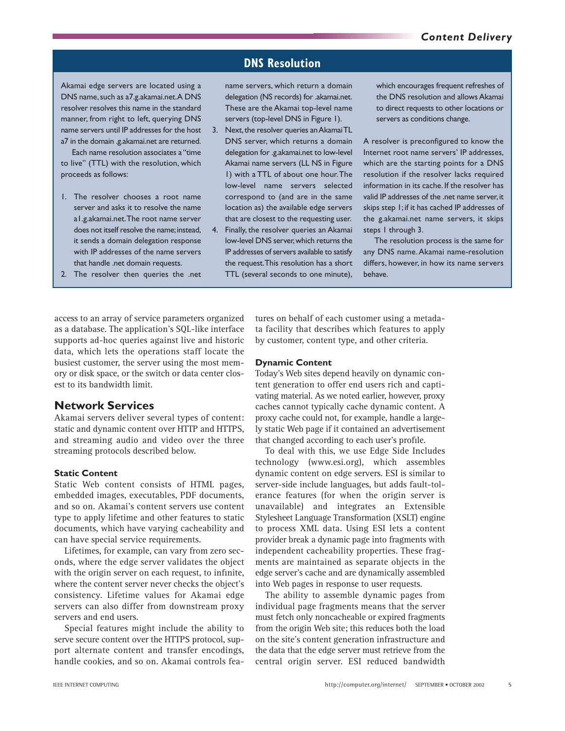# *Content Delivery*

# **DNS Resolution**

Akamai edge servers are located using a DNS name, such as a7.g.akamai.net.A DNS resolver resolves this name in the standard manner, from right to left, querying DNS name servers until IP addresses for the host a7 in the domain .g.akamai.net are returned.

Each name resolution associates a "time to live" (TTL) with the resolution, which proceeds as follows:

- 1. The resolver chooses a root name server and asks it to resolve the name a1.g.akamai.net.The root name server does not itself resolve the name; instead, it sends a domain delegation response with IP addresses of the name servers that handle .net domain requests.
- 2. The resolver then queries the .net

name servers, which return a domain delegation (NS records) for .akamai.net. These are the Akamai top-level name servers (top-level DNS in Figure 1).

- 3. Next, the resolver queries an Akamai TL DNS server, which returns a domain delegation for .g.akamai.net to low-level Akamai name servers (LL NS in Figure 1) with a TTL of about one hour.The low-level name servers selected correspond to (and are in the same location as) the available edge servers that are closest to the requesting user. 4. Finally, the resolver queries an Akamai low-level DNS server,which returns the
	- IP addresses of servers available to satisfy the request.This resolution has a short TTL (several seconds to one minute),

which encourages frequent refreshes of the DNS resolution and allows Akamai to direct requests to other locations or servers as conditions change.

A resolver is preconfigured to know the Internet root name servers' IP addresses, which are the starting points for a DNS resolution if the resolver lacks required information in its cache. If the resolver has valid IP addresses of the .net name server, it skips step 1;if it has cached IP addresses of the g.akamai.net name servers, it skips steps I through 3.

The resolution process is the same for any DNS name.Akamai name-resolution differs, however, in how its name servers behave.

access to an array of service parameters organized as a database. The application's SQL-like interface supports ad-hoc queries against live and historic data, which lets the operations staff locate the busiest customer, the server using the most memory or disk space, or the switch or data center closest to its bandwidth limit.

# **Network Services**

Akamai servers deliver several types of content: static and dynamic content over HTTP and HTTPS, and streaming audio and video over the three streaming protocols described below.

### **Static Content**

Static Web content consists of HTML pages, embedded images, executables, PDF documents, and so on. Akamai's content servers use content type to apply lifetime and other features to static documents, which have varying cacheability and can have special service requirements.

Lifetimes, for example, can vary from zero seconds, where the edge server validates the object with the origin server on each request, to infinite, where the content server never checks the object's consistency. Lifetime values for Akamai edge servers can also differ from downstream proxy servers and end users.

Special features might include the ability to serve secure content over the HTTPS protocol, support alternate content and transfer encodings, handle cookies, and so on. Akamai controls fea-

tures on behalf of each customer using a metadata facility that describes which features to apply by customer, content type, and other criteria.

### **Dynamic Content**

Today's Web sites depend heavily on dynamic content generation to offer end users rich and captivating material. As we noted earlier, however, proxy caches cannot typically cache dynamic content. A proxy cache could not, for example, handle a largely static Web page if it contained an advertisement that changed according to each user's profile.

To deal with this, we use Edge Side Includes technology (www.esi.org), which assembles dynamic content on edge servers. ESI is similar to server-side include languages, but adds fault-tolerance features (for when the origin server is unavailable) and integrates an Extensible Stylesheet Language Transformation (XSLT) engine to process XML data. Using ESI lets a content provider break a dynamic page into fragments with independent cacheability properties. These fragments are maintained as separate objects in the edge server's cache and are dynamically assembled into Web pages in response to user requests.

The ability to assemble dynamic pages from individual page fragments means that the server must fetch only noncacheable or expired fragments from the origin Web site; this reduces both the load on the site's content generation infrastructure and the data that the edge server must retrieve from the central origin server. ESI reduced bandwidth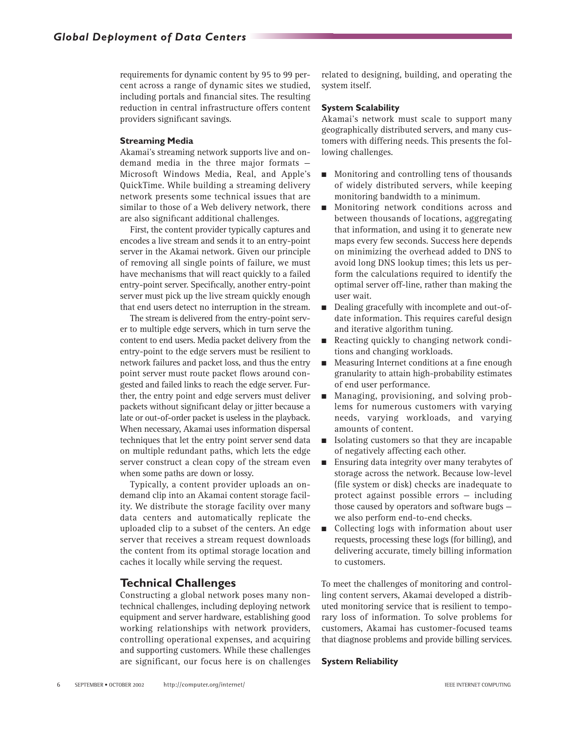requirements for dynamic content by 95 to 99 percent across a range of dynamic sites we studied, including portals and financial sites. The resulting reduction in central infrastructure offers content providers significant savings.

### **Streaming Media**

Akamai's streaming network supports live and ondemand media in the three major formats — Microsoft Windows Media, Real, and Apple's QuickTime. While building a streaming delivery network presents some technical issues that are similar to those of a Web delivery network, there are also significant additional challenges.

First, the content provider typically captures and encodes a live stream and sends it to an entry-point server in the Akamai network. Given our principle of removing all single points of failure, we must have mechanisms that will react quickly to a failed entry-point server. Specifically, another entry-point server must pick up the live stream quickly enough that end users detect no interruption in the stream.

The stream is delivered from the entry-point server to multiple edge servers, which in turn serve the content to end users. Media packet delivery from the entry-point to the edge servers must be resilient to network failures and packet loss, and thus the entry point server must route packet flows around congested and failed links to reach the edge server. Further, the entry point and edge servers must deliver packets without significant delay or jitter because a late or out-of-order packet is useless in the playback. When necessary, Akamai uses information dispersal techniques that let the entry point server send data on multiple redundant paths, which lets the edge server construct a clean copy of the stream even when some paths are down or lossy.

Typically, a content provider uploads an ondemand clip into an Akamai content storage facility. We distribute the storage facility over many data centers and automatically replicate the uploaded clip to a subset of the centers. An edge server that receives a stream request downloads the content from its optimal storage location and caches it locally while serving the request.

# **Technical Challenges**

Constructing a global network poses many nontechnical challenges, including deploying network equipment and server hardware, establishing good working relationships with network providers, controlling operational expenses, and acquiring and supporting customers. While these challenges are significant, our focus here is on challenges related to designing, building, and operating the system itself.

### **System Scalability**

Akamai's network must scale to support many geographically distributed servers, and many customers with differing needs. This presents the following challenges.

- Monitoring and controlling tens of thousands of widely distributed servers, while keeping monitoring bandwidth to a minimum.
- Monitoring network conditions across and between thousands of locations, aggregating that information, and using it to generate new maps every few seconds. Success here depends on minimizing the overhead added to DNS to avoid long DNS lookup times; this lets us perform the calculations required to identify the optimal server off-line, rather than making the user wait.
- Dealing gracefully with incomplete and out-ofdate information. This requires careful design and iterative algorithm tuning.
- Reacting quickly to changing network conditions and changing workloads.
- Measuring Internet conditions at a fine enough granularity to attain high-probability estimates of end user performance.
- Managing, provisioning, and solving problems for numerous customers with varying needs, varying workloads, and varying amounts of content.
- Isolating customers so that they are incapable of negatively affecting each other.
- Ensuring data integrity over many terabytes of storage across the network. Because low-level (file system or disk) checks are inadequate to protect against possible errors — including those caused by operators and software bugs we also perform end-to-end checks.
- Collecting logs with information about user requests, processing these logs (for billing), and delivering accurate, timely billing information to customers.

To meet the challenges of monitoring and controlling content servers, Akamai developed a distributed monitoring service that is resilient to temporary loss of information. To solve problems for customers, Akamai has customer-focused teams that diagnose problems and provide billing services.

### **System Reliability**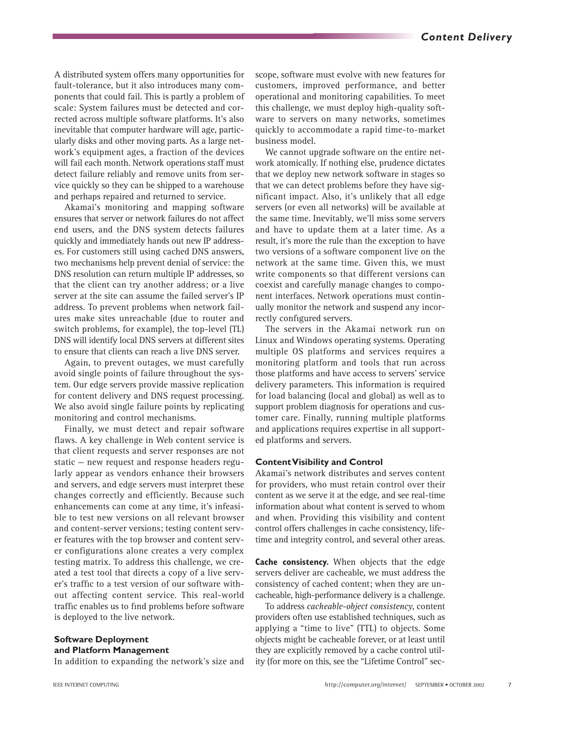A distributed system offers many opportunities for fault-tolerance, but it also introduces many components that could fail. This is partly a problem of scale: System failures must be detected and corrected across multiple software platforms. It's also inevitable that computer hardware will age, particularly disks and other moving parts. As a large network's equipment ages, a fraction of the devices will fail each month. Network operations staff must detect failure reliably and remove units from service quickly so they can be shipped to a warehouse and perhaps repaired and returned to service.

Akamai's monitoring and mapping software ensures that server or network failures do not affect end users, and the DNS system detects failures quickly and immediately hands out new IP addresses. For customers still using cached DNS answers, two mechanisms help prevent denial of service: the DNS resolution can return multiple IP addresses, so that the client can try another address; or a live server at the site can assume the failed server's IP address. To prevent problems when network failures make sites unreachable (due to router and switch problems, for example), the top-level (TL) DNS will identify local DNS servers at different sites to ensure that clients can reach a live DNS server.

Again, to prevent outages, we must carefully avoid single points of failure throughout the system. Our edge servers provide massive replication for content delivery and DNS request processing. We also avoid single failure points by replicating monitoring and control mechanisms.

Finally, we must detect and repair software flaws. A key challenge in Web content service is that client requests and server responses are not static — new request and response headers regularly appear as vendors enhance their browsers and servers, and edge servers must interpret these changes correctly and efficiently. Because such enhancements can come at any time, it's infeasible to test new versions on all relevant browser and content-server versions; testing content server features with the top browser and content server configurations alone creates a very complex testing matrix. To address this challenge, we created a test tool that directs a copy of a live server's traffic to a test version of our software without affecting content service. This real-world traffic enables us to find problems before software is deployed to the live network.

# **Software Deployment and Platform Management**

In addition to expanding the network's size and

scope, software must evolve with new features for customers, improved performance, and better operational and monitoring capabilities. To meet this challenge, we must deploy high-quality software to servers on many networks, sometimes quickly to accommodate a rapid time-to-market business model.

We cannot upgrade software on the entire network atomically. If nothing else, prudence dictates that we deploy new network software in stages so that we can detect problems before they have significant impact. Also, it's unlikely that all edge servers (or even all networks) will be available at the same time. Inevitably, we'll miss some servers and have to update them at a later time. As a result, it's more the rule than the exception to have two versions of a software component live on the network at the same time. Given this, we must write components so that different versions can coexist and carefully manage changes to component interfaces. Network operations must continually monitor the network and suspend any incorrectly configured servers.

The servers in the Akamai network run on Linux and Windows operating systems. Operating multiple OS platforms and services requires a monitoring platform and tools that run across those platforms and have access to servers' service delivery parameters. This information is required for load balancing (local and global) as well as to support problem diagnosis for operations and customer care. Finally, running multiple platforms and applications requires expertise in all supported platforms and servers.

### **Content Visibility and Control**

Akamai's network distributes and serves content for providers, who must retain control over their content as we serve it at the edge, and see real-time information about what content is served to whom and when. Providing this visibility and content control offers challenges in cache consistency, lifetime and integrity control, and several other areas.

**Cache consistency.** When objects that the edge servers deliver are cacheable, we must address the consistency of cached content; when they are uncacheable, high-performance delivery is a challenge.

To address *cacheable-object consistency*, content providers often use established techniques, such as applying a "time to live" (TTL) to objects. Some objects might be cacheable forever, or at least until they are explicitly removed by a cache control utility (for more on this, see the "Lifetime Control" sec-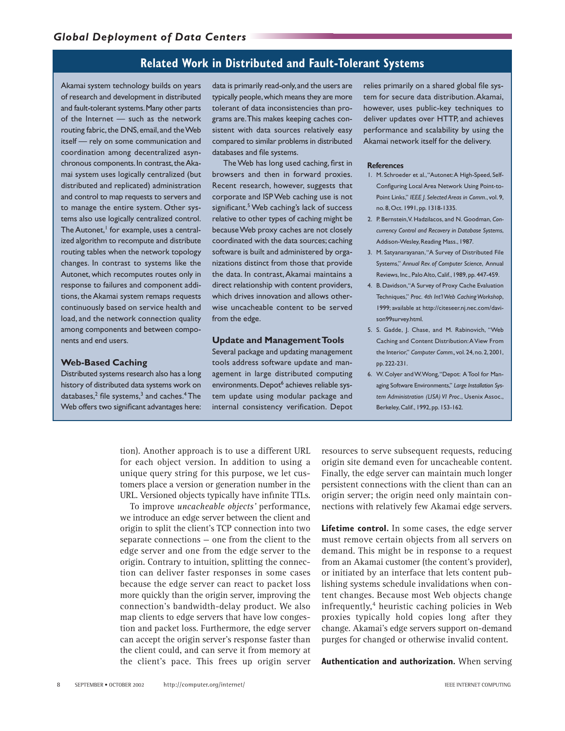# **Related Work in Distributed and Fault-Tolerant Systems**

Akamai system technology builds on years of research and development in distributed and fault-tolerant systems. Many other parts of the Internet — such as the network routing fabric, the DNS, email, and the Web itself — rely on some communication and coordination among decentralized asynchronous components. In contrast, the Akamai system uses logically centralized (but distributed and replicated) administration and control to map requests to servers and to manage the entire system. Other systems also use logically centralized control. The Autonet,<sup>1</sup> for example, uses a centralized algorithm to recompute and distribute routing tables when the network topology changes. In contrast to systems like the Autonet, which recomputes routes only in response to failures and component additions, the Akamai system remaps requests continuously based on service health and load, and the network connection quality among components and between components and end users.

### **Web-Based Caching**

Distributed systems research also has a long history of distributed data systems work on databases,<sup>2</sup> file systems,<sup>3</sup> and caches.<sup>4</sup> The Web offers two significant advantages here:

data is primarily read-only, and the users are typically people,which means they are more tolerant of data inconsistencies than programs are.This makes keeping caches consistent with data sources relatively easy compared to similar problems in distributed databases and file systems.

The Web has long used caching, first in browsers and then in forward proxies. Recent research, however, suggests that corporate and ISP Web caching use is not significant.<sup>5</sup> Web caching's lack of success relative to other types of caching might be because Web proxy caches are not closely coordinated with the data sources;caching software is built and administered by organizations distinct from those that provide the data. In contrast,Akamai maintains a direct relationship with content providers, which drives innovation and allows otherwise uncacheable content to be served from the edge.

### **Update and Management Tools**

Several package and updating management tools address software update and management in large distributed computing environments. Depot<sup>6</sup> achieves reliable system update using modular package and internal consistency verification. Depot relies primarily on a shared global file system for secure data distribution.Akamai, however, uses public-key techniques to deliver updates over HTTP, and achieves performance and scalability by using the Akamai network itself for the delivery.

### **References**

- 1. M. Schroeder et al.,"Autonet:A High-Speed, Self-Configuring Local Area Network Using Point-to-Point Links," *IEEE J. Selected Areas in Comm*., vol. 9, no. 8, Oct. 1991, pp. 1318-1335.
- 2. P. Bernstein,V. Hadzilacos, and N. Goodman, *Concurrency Control and Recovery in Database Systems*, Addison-Wesley, Reading Mass., 1987.
- 3. M. Satyanarayanan,"A Survey of Distributed File Systems," *Annual Rev. of Computer Science*, Annual Reviews, Inc., Palo Alto, Calif., 1989, pp. 447-459.
- 4. B.Davidson,"A Survey of Proxy Cache Evaluation Techniques," *Proc. 4th Int'l Web Caching Workshop*, 1999; available at http://citeseer.nj.nec.com/davison99survey.html.
- 5. S. Gadde, J. Chase, and M. Rabinovich, "Web Caching and Content Distribution:A View From the Interior," *Computer Comm.,* vol. 24, no. 2, 2001, pp. 222-231.
- 6. W. Colyer and W.Wong,"Depot: A Tool for Managing Software Environments," *Large Installation System Administration (LISA) VI Proc.*, Usenix Assoc., Berkeley, Calif., 1992, pp. 153-162.

tion). Another approach is to use a different URL for each object version. In addition to using a unique query string for this purpose, we let customers place a version or generation number in the URL. Versioned objects typically have infinite TTLs.

To improve *uncacheable objects'* performance, we introduce an edge server between the client and origin to split the client's TCP connection into two separate connections — one from the client to the edge server and one from the edge server to the origin. Contrary to intuition, splitting the connection can deliver faster responses in some cases because the edge server can react to packet loss more quickly than the origin server, improving the connection's bandwidth-delay product. We also map clients to edge servers that have low congestion and packet loss. Furthermore, the edge server can accept the origin server's response faster than the client could, and can serve it from memory at the client's pace. This frees up origin server resources to serve subsequent requests, reducing origin site demand even for uncacheable content. Finally, the edge server can maintain much longer persistent connections with the client than can an origin server; the origin need only maintain connections with relatively few Akamai edge servers.

**Lifetime control.** In some cases, the edge server must remove certain objects from all servers on demand. This might be in response to a request from an Akamai customer (the content's provider), or initiated by an interface that lets content publishing systems schedule invalidations when content changes. Because most Web objects change  $in$  frequently, $4$  heuristic caching policies in Web proxies typically hold copies long after they change. Akamai's edge servers support on-demand purges for changed or otherwise invalid content.

**Authentication and authorization.** When serving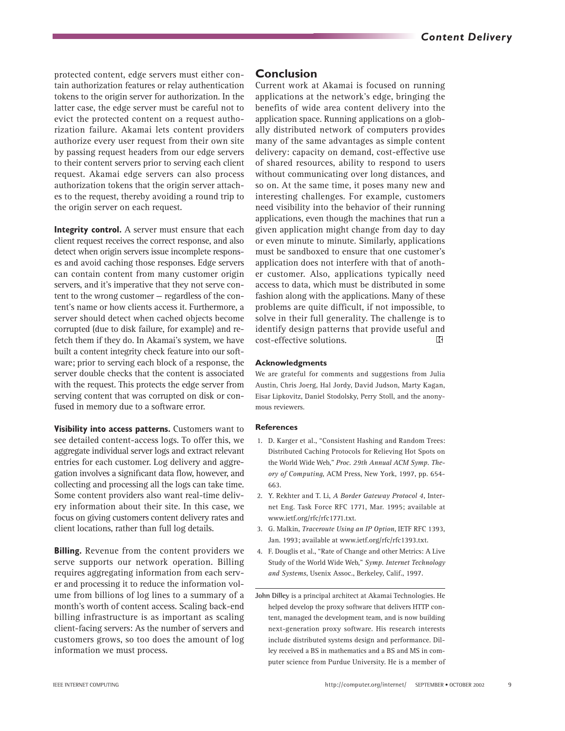protected content, edge servers must either contain authorization features or relay authentication tokens to the origin server for authorization. In the latter case, the edge server must be careful not to evict the protected content on a request authorization failure. Akamai lets content providers authorize every user request from their own site by passing request headers from our edge servers to their content servers prior to serving each client request. Akamai edge servers can also process authorization tokens that the origin server attaches to the request, thereby avoiding a round trip to the origin server on each request.

**Integrity control.** A server must ensure that each client request receives the correct response, and also detect when origin servers issue incomplete responses and avoid caching those responses. Edge servers can contain content from many customer origin servers, and it's imperative that they not serve content to the wrong customer — regardless of the content's name or how clients access it. Furthermore, a server should detect when cached objects become corrupted (due to disk failure, for example) and refetch them if they do. In Akamai's system, we have built a content integrity check feature into our software; prior to serving each block of a response, the server double checks that the content is associated with the request. This protects the edge server from serving content that was corrupted on disk or confused in memory due to a software error.

**Visibility into access patterns.** Customers want to see detailed content-access logs. To offer this, we aggregate individual server logs and extract relevant entries for each customer. Log delivery and aggregation involves a significant data flow, however, and collecting and processing all the logs can take time. Some content providers also want real-time delivery information about their site. In this case, we focus on giving customers content delivery rates and client locations, rather than full log details.

**Billing.** Revenue from the content providers we serve supports our network operation. Billing requires aggregating information from each server and processing it to reduce the information volume from billions of log lines to a summary of a month's worth of content access. Scaling back-end billing infrastructure is as important as scaling client-facing servers: As the number of servers and customers grows, so too does the amount of log information we must process.

# **Conclusion**

Current work at Akamai is focused on running applications at the network's edge, bringing the benefits of wide area content delivery into the application space. Running applications on a globally distributed network of computers provides many of the same advantages as simple content delivery: capacity on demand, cost-effective use of shared resources, ability to respond to users without communicating over long distances, and so on. At the same time, it poses many new and interesting challenges. For example, customers need visibility into the behavior of their running applications, even though the machines that run a given application might change from day to day or even minute to minute. Similarly, applications must be sandboxed to ensure that one customer's application does not interfere with that of another customer. Also, applications typically need access to data, which must be distributed in some fashion along with the applications. Many of these problems are quite difficult, if not impossible, to solve in their full generality. The challenge is to identify design patterns that provide useful and  $\mathbb{R}$ cost-effective solutions.

### **Acknowledgments**

We are grateful for comments and suggestions from Julia Austin, Chris Joerg, Hal Jordy, David Judson, Marty Kagan, Eisar Lipkovitz, Daniel Stodolsky, Perry Stoll, and the anonymous reviewers.

### **References**

- 1. D. Karger et al., "Consistent Hashing and Random Trees: Distributed Caching Protocols for Relieving Hot Spots on the World Wide Web," *Proc. 29th Annual ACM Symp. Theory of Computing*, ACM Press, New York, 1997, pp. 654- 663.
- 2. Y. Rekhter and T. Li, *A Border Gateway Protocol 4*, Internet Eng. Task Force RFC 1771, Mar. 1995; available at www.ietf.org/rfc/rfc1771.txt.
- 3. G. Malkin, *Traceroute Using an IP Option*, IETF RFC 1393, Jan. 1993; available at www.ietf.org/rfc/rfc1393.txt.
- 4. F. Douglis et al., "Rate of Change and other Metrics: A Live Study of the World Wide Web," *Symp. Internet Technology and Systems*, Usenix Assoc., Berkeley, Calif., 1997.

**John Dilley** is a principal architect at Akamai Technologies. He helped develop the proxy software that delivers HTTP content, managed the development team, and is now building next-generation proxy software. His research interests include distributed systems design and performance. Dilley received a BS in mathematics and a BS and MS in computer science from Purdue University. He is a member of